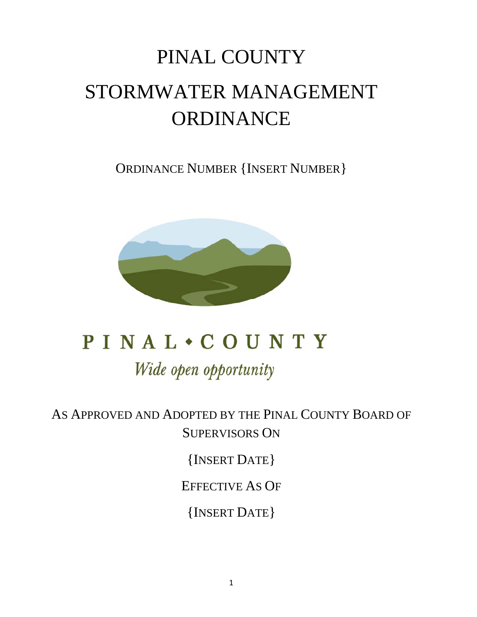# PINAL COUNTY STORMWATER MANAGEMENT ORDINANCE

ORDINANCE NUMBER {INSERT NUMBER}



# **PINAL . COUNTY** Wide open opportunity

AS APPROVED AND ADOPTED BY THE PINAL COUNTY BOARD OF SUPERVISORS ON

{INSERT DATE}

EFFECTIVE AS OF

{INSERT DATE}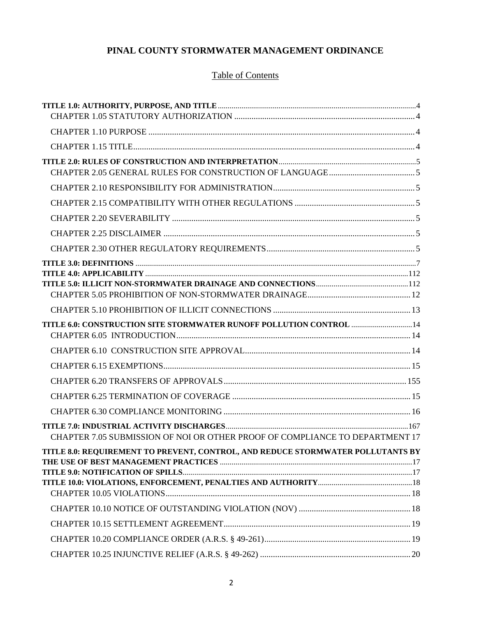# **PINAL COUNTY STORMWATER MANAGEMENT ORDINANCE**

# Table of Contents

| TITLE 6.0: CONSTRUCTION SITE STORMWATER RUNOFF POLLUTION CONTROL  14            |  |
|---------------------------------------------------------------------------------|--|
|                                                                                 |  |
|                                                                                 |  |
|                                                                                 |  |
|                                                                                 |  |
|                                                                                 |  |
|                                                                                 |  |
|                                                                                 |  |
| CHAPTER 7.05 SUBMISSION OF NOI OR OTHER PROOF OF COMPLIANCE TO DEPARTMENT 17    |  |
| TITLE 8.0: REQUIREMENT TO PREVENT, CONTROL, AND REDUCE STORMWATER POLLUTANTS BY |  |
|                                                                                 |  |
|                                                                                 |  |
|                                                                                 |  |
|                                                                                 |  |
|                                                                                 |  |
|                                                                                 |  |
|                                                                                 |  |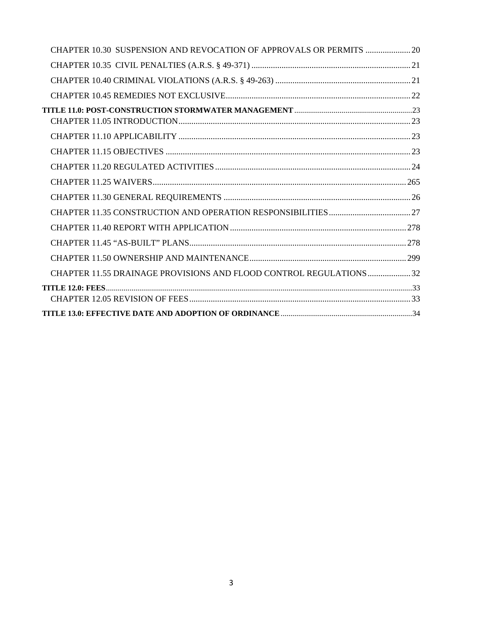| CHAPTER 10.30 SUSPENSION AND REVOCATION OF APPROVALS OR PERMITS  20 |  |
|---------------------------------------------------------------------|--|
|                                                                     |  |
|                                                                     |  |
|                                                                     |  |
|                                                                     |  |
|                                                                     |  |
|                                                                     |  |
|                                                                     |  |
|                                                                     |  |
|                                                                     |  |
|                                                                     |  |
|                                                                     |  |
|                                                                     |  |
|                                                                     |  |
| CHAPTER 11.55 DRAINAGE PROVISIONS AND FLOOD CONTROL REGULATIONS  32 |  |
|                                                                     |  |
|                                                                     |  |
|                                                                     |  |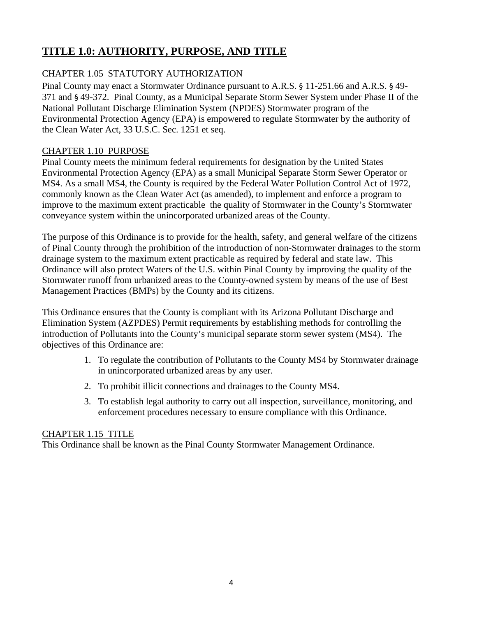# **TITLE 1.0: AUTHORITY, PURPOSE, AND TITLE**

# CHAPTER 1.05 STATUTORY AUTHORIZATION

Pinal County may enact a Stormwater Ordinance pursuant to A.R.S. § 11-251.66 and A.R.S. § 49- 371 and § 49-372. Pinal County, as a Municipal Separate Storm Sewer System under Phase II of the National Pollutant Discharge Elimination System (NPDES) Stormwater program of the Environmental Protection Agency (EPA) is empowered to regulate Stormwater by the authority of the Clean Water Act, 33 U.S.C. Sec. 1251 et seq.

## CHAPTER 1.10 PURPOSE

Pinal County meets the minimum federal requirements for designation by the United States Environmental Protection Agency (EPA) as a small Municipal Separate Storm Sewer Operator or MS4. As a small MS4, the County is required by the Federal Water Pollution Control Act of 1972, commonly known as the Clean Water Act (as amended), to implement and enforce a program to improve to the maximum extent practicable the quality of Stormwater in the County's Stormwater conveyance system within the unincorporated urbanized areas of the County.

The purpose of this Ordinance is to provide for the health, safety, and general welfare of the citizens of Pinal County through the prohibition of the introduction of non-Stormwater drainages to the storm drainage system to the maximum extent practicable as required by federal and state law. This Ordinance will also protect Waters of the U.S. within Pinal County by improving the quality of the Stormwater runoff from urbanized areas to the County-owned system by means of the use of Best Management Practices (BMPs) by the County and its citizens.

This Ordinance ensures that the County is compliant with its Arizona Pollutant Discharge and Elimination System (AZPDES) Permit requirements by establishing methods for controlling the introduction of Pollutants into the County's municipal separate storm sewer system (MS4). The objectives of this Ordinance are:

- 1. To regulate the contribution of Pollutants to the County MS4 by Stormwater drainage in unincorporated urbanized areas by any user.
- 2. To prohibit illicit connections and drainages to the County MS4.
- 3. To establish legal authority to carry out all inspection, surveillance, monitoring, and enforcement procedures necessary to ensure compliance with this Ordinance.

## CHAPTER 1.15 TITLE

This Ordinance shall be known as the Pinal County Stormwater Management Ordinance.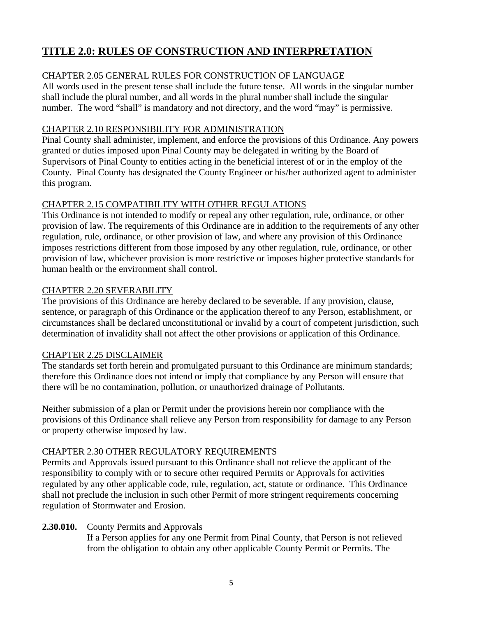# **TITLE 2.0: RULES OF CONSTRUCTION AND INTERPRETATION**

# CHAPTER 2.05 GENERAL RULES FOR CONSTRUCTION OF LANGUAGE

All words used in the present tense shall include the future tense. All words in the singular number shall include the plural number, and all words in the plural number shall include the singular number. The word "shall" is mandatory and not directory, and the word "may" is permissive.

## CHAPTER 2.10 RESPONSIBILITY FOR ADMINISTRATION

Pinal County shall administer, implement, and enforce the provisions of this Ordinance. Any powers granted or duties imposed upon Pinal County may be delegated in writing by the Board of Supervisors of Pinal County to entities acting in the beneficial interest of or in the employ of the County. Pinal County has designated the County Engineer or his/her authorized agent to administer this program.

## CHAPTER 2.15 COMPATIBILITY WITH OTHER REGULATIONS

This Ordinance is not intended to modify or repeal any other regulation, rule, ordinance, or other provision of law. The requirements of this Ordinance are in addition to the requirements of any other regulation, rule, ordinance, or other provision of law, and where any provision of this Ordinance imposes restrictions different from those imposed by any other regulation, rule, ordinance, or other provision of law, whichever provision is more restrictive or imposes higher protective standards for human health or the environment shall control.

## CHAPTER 2.20 SEVERABILITY

The provisions of this Ordinance are hereby declared to be severable. If any provision, clause, sentence, or paragraph of this Ordinance or the application thereof to any Person, establishment, or circumstances shall be declared unconstitutional or invalid by a court of competent jurisdiction, such determination of invalidity shall not affect the other provisions or application of this Ordinance.

## CHAPTER 2.25 DISCLAIMER

The standards set forth herein and promulgated pursuant to this Ordinance are minimum standards; therefore this Ordinance does not intend or imply that compliance by any Person will ensure that there will be no contamination, pollution, or unauthorized drainage of Pollutants.

Neither submission of a plan or Permit under the provisions herein nor compliance with the provisions of this Ordinance shall relieve any Person from responsibility for damage to any Person or property otherwise imposed by law.

# CHAPTER 2.30 OTHER REGULATORY REQUIREMENTS

Permits and Approvals issued pursuant to this Ordinance shall not relieve the applicant of the responsibility to comply with or to secure other required Permits or Approvals for activities regulated by any other applicable code, rule, regulation, act, statute or ordinance. This Ordinance shall not preclude the inclusion in such other Permit of more stringent requirements concerning regulation of Stormwater and Erosion.

## **2.30.010.** County Permits and Approvals

If a Person applies for any one Permit from Pinal County, that Person is not relieved from the obligation to obtain any other applicable County Permit or Permits. The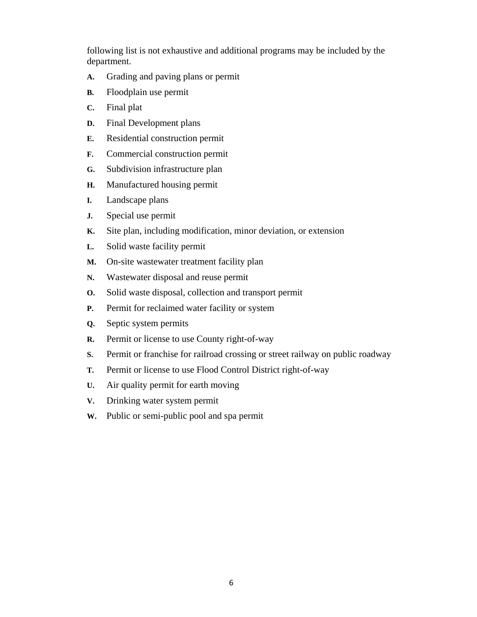following list is not exhaustive and additional programs may be included by the department.

- **A.** Grading and paving plans or permit
- **B.** Floodplain use permit
- **C.** Final plat
- **D.** Final Development plans
- **E.** Residential construction permit
- **F.** Commercial construction permit
- **G.** Subdivision infrastructure plan
- **H.** Manufactured housing permit
- **I.** Landscape plans
- **J.** Special use permit
- **K.** Site plan, including modification, minor deviation, or extension
- **L.** Solid waste facility permit
- **M.** On-site wastewater treatment facility plan
- **N.** Wastewater disposal and reuse permit
- **O.** Solid waste disposal, collection and transport permit
- **P.** Permit for reclaimed water facility or system
- **Q.** Septic system permits
- **R.** Permit or license to use County right-of-way
- **S.** Permit or franchise for railroad crossing or street railway on public roadway
- **T.** Permit or license to use Flood Control District right-of-way
- **U.** Air quality permit for earth moving
- **V.** Drinking water system permit
- **W.** Public or semi-public pool and spa permit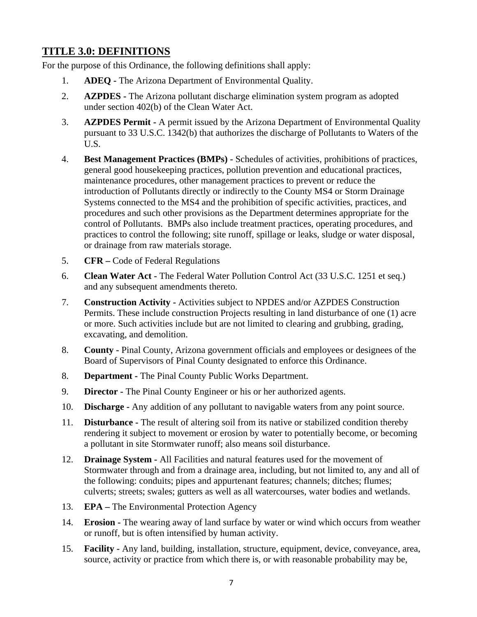# **TITLE 3.0: DEFINITIONS**

For the purpose of this Ordinance, the following definitions shall apply:

- 1. **ADEQ -** The Arizona Department of Environmental Quality.
- 2. **AZPDES** The Arizona pollutant discharge elimination system program as adopted under section 402(b) of the Clean Water Act.
- 3. **AZPDES Permit** A permit issued by the Arizona Department of Environmental Quality pursuant to 33 U.S.C. 1342(b) that authorizes the discharge of Pollutants to Waters of the U.S.
- 4. **Best Management Practices (BMPs)** Schedules of activities, prohibitions of practices, general good housekeeping practices, pollution prevention and educational practices, maintenance procedures, other management practices to prevent or reduce the introduction of Pollutants directly or indirectly to the County MS4 or Storm Drainage Systems connected to the MS4 and the prohibition of specific activities, practices, and procedures and such other provisions as the Department determines appropriate for the control of Pollutants. BMPs also include treatment practices, operating procedures, and practices to control the following; site runoff, spillage or leaks, sludge or water disposal, or drainage from raw materials storage.
- 5. **CFR** Code of Federal Regulations
- 6. **Clean Water Act** The Federal Water Pollution Control Act (33 U.S.C. 1251 et seq.) and any subsequent amendments thereto.
- 7. **Construction Activity** Activities subject to NPDES and/or AZPDES Construction Permits. These include construction Projects resulting in land disturbance of one (1) acre or more. Such activities include but are not limited to clearing and grubbing, grading, excavating, and demolition.
- 8. **County -** Pinal County, Arizona government officials and employees or designees of the Board of Supervisors of Pinal County designated to enforce this Ordinance.
- 8. **Department** The Pinal County Public Works Department.
- 9. **Director** The Pinal County Engineer or his or her authorized agents.
- 10. **Discharge** Any addition of any pollutant to navigable waters from any point source.
- 11. **Disturbance** The result of altering soil from its native or stabilized condition thereby rendering it subject to movement or erosion by water to potentially become, or becoming a pollutant in site Stormwater runoff; also means soil disturbance.
- 12. **Drainage System** All Facilities and natural features used for the movement of Stormwater through and from a drainage area, including, but not limited to, any and all of the following: conduits; pipes and appurtenant features; channels; ditches; flumes; culverts; streets; swales; gutters as well as all watercourses, water bodies and wetlands.
- 13. **EPA –** The Environmental Protection Agency
- 14. **Erosion** The wearing away of land surface by water or wind which occurs from weather or runoff, but is often intensified by human activity.
- 15. **Facility** Any land, building, installation, structure, equipment, device, conveyance, area, source, activity or practice from which there is, or with reasonable probability may be,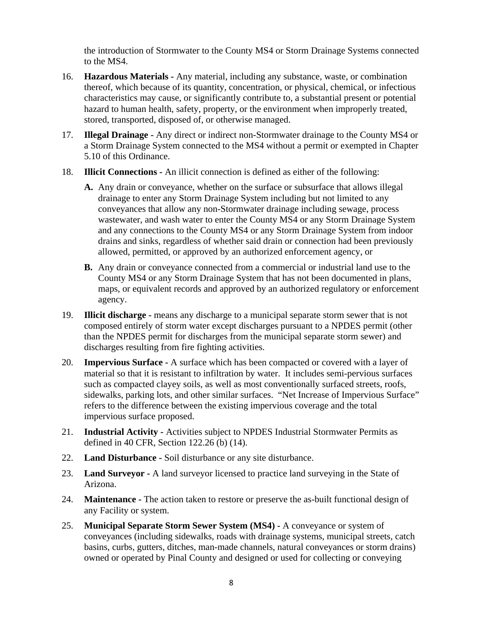the introduction of Stormwater to the County MS4 or Storm Drainage Systems connected to the MS4.

- 16. **Hazardous Materials** Any material, including any substance, waste, or combination thereof, which because of its quantity, concentration, or physical, chemical, or infectious characteristics may cause, or significantly contribute to, a substantial present or potential hazard to human health, safety, property, or the environment when improperly treated, stored, transported, disposed of, or otherwise managed.
- 17. **Illegal Drainage** Any direct or indirect non-Stormwater drainage to the County MS4 or a Storm Drainage System connected to the MS4 without a permit or exempted in Chapter 5.10 of this Ordinance.
- 18. **Illicit Connections** An illicit connection is defined as either of the following:
	- **A.** Any drain or conveyance, whether on the surface or subsurface that allows illegal drainage to enter any Storm Drainage System including but not limited to any conveyances that allow any non-Stormwater drainage including sewage, process wastewater, and wash water to enter the County MS4 or any Storm Drainage System and any connections to the County MS4 or any Storm Drainage System from indoor drains and sinks, regardless of whether said drain or connection had been previously allowed, permitted, or approved by an authorized enforcement agency, or
	- **B.** Any drain or conveyance connected from a commercial or industrial land use to the County MS4 or any Storm Drainage System that has not been documented in plans, maps, or equivalent records and approved by an authorized regulatory or enforcement agency.
- 19. **Illicit discharge -** means any discharge to a municipal separate storm sewer that is not composed entirely of storm water except discharges pursuant to a NPDES permit (other than the NPDES permit for discharges from the municipal separate storm sewer) and discharges resulting from fire fighting activities.
- 20. **Impervious Surface** A surface which has been compacted or covered with a layer of material so that it is resistant to infiltration by water. It includes semi-pervious surfaces such as compacted clayey soils, as well as most conventionally surfaced streets, roofs, sidewalks, parking lots, and other similar surfaces. "Net Increase of Impervious Surface" refers to the difference between the existing impervious coverage and the total impervious surface proposed.
- 21. **Industrial Activity** Activities subject to NPDES Industrial Stormwater Permits as defined in 40 CFR, Section 122.26 (b) (14).
- 22. **Land Disturbance** Soil disturbance or any site disturbance.
- 23. **Land Surveyor** A land surveyor licensed to practice land surveying in the State of Arizona.
- 24. **Maintenance** The action taken to restore or preserve the as-built functional design of any Facility or system.
- 25. **Municipal Separate Storm Sewer System (MS4)** A conveyance or system of conveyances (including sidewalks, roads with drainage systems, municipal streets, catch basins, curbs, gutters, ditches, man-made channels, natural conveyances or storm drains) owned or operated by Pinal County and designed or used for collecting or conveying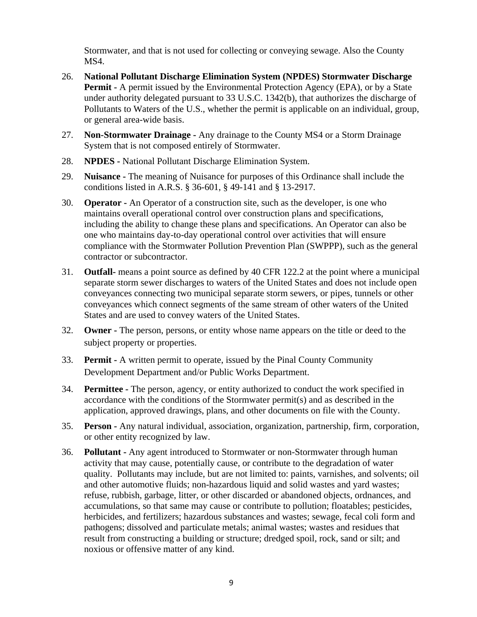Stormwater, and that is not used for collecting or conveying sewage. Also the County MS4.

- 26. **National Pollutant Discharge Elimination System (NPDES) Stormwater Discharge Permit -** A permit issued by the Environmental Protection Agency (EPA), or by a State under authority delegated pursuant to 33 U.S.C. 1342(b), that authorizes the discharge of Pollutants to Waters of the U.S., whether the permit is applicable on an individual, group, or general area-wide basis.
- 27. **Non-Stormwater Drainage** Any drainage to the County MS4 or a Storm Drainage System that is not composed entirely of Stormwater.
- 28. **NPDES** National Pollutant Discharge Elimination System.
- 29. **Nuisance** The meaning of Nuisance for purposes of this Ordinance shall include the conditions listed in A.R.S. § 36-601, § 49-141 and § 13-2917.
- 30. **Operator** An Operator of a construction site, such as the developer, is one who maintains overall operational control over construction plans and specifications, including the ability to change these plans and specifications. An Operator can also be one who maintains day-to-day operational control over activities that will ensure compliance with the Stormwater Pollution Prevention Plan (SWPPP), such as the general contractor or subcontractor.
- 31. **Outfall-** means a point source as defined by 40 CFR 122.2 at the point where a municipal separate storm sewer discharges to waters of the United States and does not include open conveyances connecting two municipal separate storm sewers, or pipes, tunnels or other conveyances which connect segments of the same stream of other waters of the United States and are used to convey waters of the United States.
- 32. **Owner** The person, persons, or entity whose name appears on the title or deed to the subject property or properties.
- 33. **Permit** A written permit to operate, issued by the Pinal County Community Development Department and/or Public Works Department.
- 34. **Permittee** The person, agency, or entity authorized to conduct the work specified in accordance with the conditions of the Stormwater permit(s) and as described in the application, approved drawings, plans, and other documents on file with the County.
- 35. **Person** Any natural individual, association, organization, partnership, firm, corporation, or other entity recognized by law.
- 36. **Pollutant** Any agent introduced to Stormwater or non-Stormwater through human activity that may cause, potentially cause, or contribute to the degradation of water quality. Pollutants may include, but are not limited to: paints, varnishes, and solvents; oil and other automotive fluids; non-hazardous liquid and solid wastes and yard wastes; refuse, rubbish, garbage, litter, or other discarded or abandoned objects, ordnances, and accumulations, so that same may cause or contribute to pollution; floatables; pesticides, herbicides, and fertilizers; hazardous substances and wastes; sewage, fecal coli form and pathogens; dissolved and particulate metals; animal wastes; wastes and residues that result from constructing a building or structure; dredged spoil, rock, sand or silt; and noxious or offensive matter of any kind.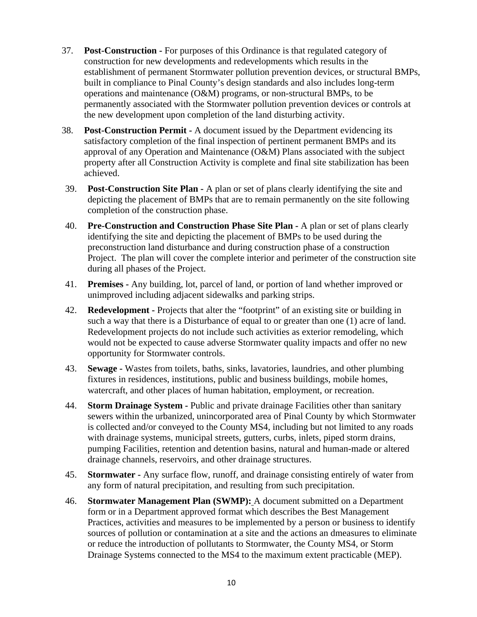- 37. **Post-Construction** For purposes of this Ordinance is that regulated category of construction for new developments and redevelopments which results in the establishment of permanent Stormwater pollution prevention devices, or structural BMPs, built in compliance to Pinal County's design standards and also includes long-term operations and maintenance (O&M) programs, or non-structural BMPs, to be permanently associated with the Stormwater pollution prevention devices or controls at the new development upon completion of the land disturbing activity.
- 38. **Post-Construction Permit** A document issued by the Department evidencing its satisfactory completion of the final inspection of pertinent permanent BMPs and its approval of any Operation and Maintenance (O&M) Plans associated with the subject property after all Construction Activity is complete and final site stabilization has been achieved.
- 39. **Post-Construction Site Plan** A plan or set of plans clearly identifying the site and depicting the placement of BMPs that are to remain permanently on the site following completion of the construction phase.
- 40. **Pre-Construction and Construction Phase Site Plan** A plan or set of plans clearly identifying the site and depicting the placement of BMPs to be used during the preconstruction land disturbance and during construction phase of a construction Project. The plan will cover the complete interior and perimeter of the construction site during all phases of the Project.
- 41. **Premises** Any building, lot, parcel of land, or portion of land whether improved or unimproved including adjacent sidewalks and parking strips.
- 42. **Redevelopment** Projects that alter the "footprint" of an existing site or building in such a way that there is a Disturbance of equal to or greater than one (1) acre of land. Redevelopment projects do not include such activities as exterior remodeling, which would not be expected to cause adverse Stormwater quality impacts and offer no new opportunity for Stormwater controls.
- 43. **Sewage** Wastes from toilets, baths, sinks, lavatories, laundries, and other plumbing fixtures in residences, institutions, public and business buildings, mobile homes, watercraft, and other places of human habitation, employment, or recreation.
- 44. **Storm Drainage System** Public and private drainage Facilities other than sanitary sewers within the urbanized, unincorporated area of Pinal County by which Stormwater is collected and/or conveyed to the County MS4, including but not limited to any roads with drainage systems, municipal streets, gutters, curbs, inlets, piped storm drains, pumping Facilities, retention and detention basins, natural and human-made or altered drainage channels, reservoirs, and other drainage structures.
- 45. **Stormwater** Any surface flow, runoff, and drainage consisting entirely of water from any form of natural precipitation, and resulting from such precipitation.
- 46. **Stormwater Management Plan (SWMP):** A document submitted on a Department form or in a Department approved format which describes the Best Management Practices, activities and measures to be implemented by a person or business to identify sources of pollution or contamination at a site and the actions an dmeasures to eliminate or reduce the introduction of pollutants to Stormwater, the County MS4, or Storm Drainage Systems connected to the MS4 to the maximum extent practicable (MEP).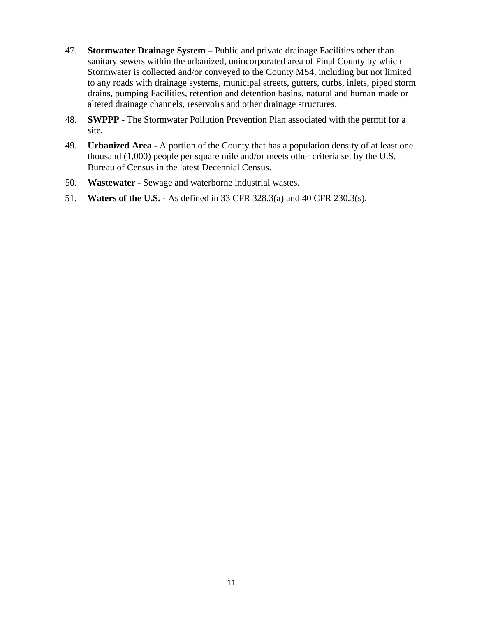- 47. **Stormwater Drainage System** Public and private drainage Facilities other than sanitary sewers within the urbanized, unincorporated area of Pinal County by which Stormwater is collected and/or conveyed to the County MS4, including but not limited to any roads with drainage systems, municipal streets, gutters, curbs, inlets, piped storm drains, pumping Facilities, retention and detention basins, natural and human made or altered drainage channels, reservoirs and other drainage structures.
- 48. **SWPPP** The Stormwater Pollution Prevention Plan associated with the permit for a site.
- 49. **Urbanized Area** A portion of the County that has a population density of at least one thousand (1,000) people per square mile and/or meets other criteria set by the U.S. Bureau of Census in the latest Decennial Census.
- 50. **Wastewater** Sewage and waterborne industrial wastes.
- 51. **Waters of the U.S.** As defined in 33 CFR 328.3(a) and 40 CFR 230.3(s).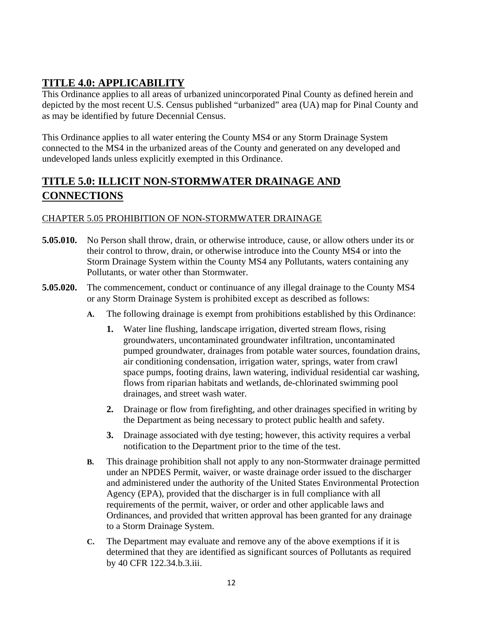# **TITLE 4.0: APPLICABILITY**

This Ordinance applies to all areas of urbanized unincorporated Pinal County as defined herein and depicted by the most recent U.S. Census published "urbanized" area (UA) map for Pinal County and as may be identified by future Decennial Census.

This Ordinance applies to all water entering the County MS4 or any Storm Drainage System connected to the MS4 in the urbanized areas of the County and generated on any developed and undeveloped lands unless explicitly exempted in this Ordinance.

# **TITLE 5.0: ILLICIT NON-STORMWATER DRAINAGE AND CONNECTIONS**

# CHAPTER 5.05 PROHIBITION OF NON-STORMWATER DRAINAGE

- **5.05.010.** No Person shall throw, drain, or otherwise introduce, cause, or allow others under its or their control to throw, drain, or otherwise introduce into the County MS4 or into the Storm Drainage System within the County MS4 any Pollutants, waters containing any Pollutants, or water other than Stormwater.
- **5.05.020.** The commencement, conduct or continuance of any illegal drainage to the County MS4 or any Storm Drainage System is prohibited except as described as follows:
	- **A.** The following drainage is exempt from prohibitions established by this Ordinance:
		- **1.** Water line flushing, landscape irrigation, diverted stream flows, rising groundwaters, uncontaminated groundwater infiltration, uncontaminated pumped groundwater, drainages from potable water sources, foundation drains, air conditioning condensation, irrigation water, springs, water from crawl space pumps, footing drains, lawn watering, individual residential car washing, flows from riparian habitats and wetlands, de-chlorinated swimming pool drainages, and street wash water.
		- **2.** Drainage or flow from firefighting, and other drainages specified in writing by the Department as being necessary to protect public health and safety.
		- **3.** Drainage associated with dye testing; however, this activity requires a verbal notification to the Department prior to the time of the test.
	- **B.** This drainage prohibition shall not apply to any non-Stormwater drainage permitted under an NPDES Permit, waiver, or waste drainage order issued to the discharger and administered under the authority of the United States Environmental Protection Agency (EPA), provided that the discharger is in full compliance with all requirements of the permit, waiver, or order and other applicable laws and Ordinances, and provided that written approval has been granted for any drainage to a Storm Drainage System.
	- **C.** The Department may evaluate and remove any of the above exemptions if it is determined that they are identified as significant sources of Pollutants as required by 40 CFR 122.34.b.3.iii.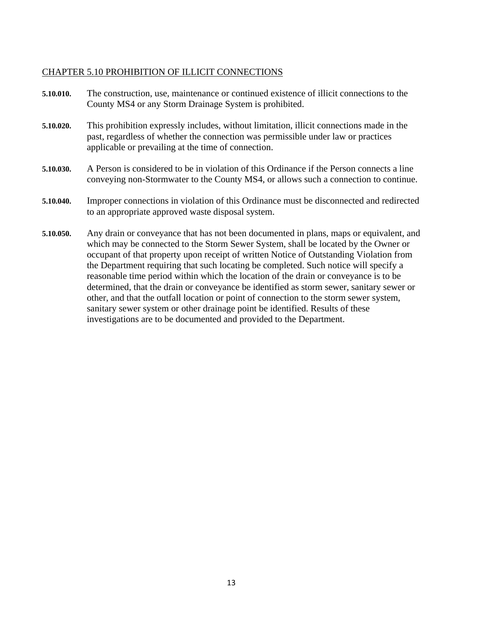#### CHAPTER 5.10 PROHIBITION OF ILLICIT CONNECTIONS

- **5.10.010.** The construction, use, maintenance or continued existence of illicit connections to the County MS4 or any Storm Drainage System is prohibited.
- **5.10.020.** This prohibition expressly includes, without limitation, illicit connections made in the past, regardless of whether the connection was permissible under law or practices applicable or prevailing at the time of connection.
- **5.10.030.** A Person is considered to be in violation of this Ordinance if the Person connects a line conveying non-Stormwater to the County MS4, or allows such a connection to continue.
- **5.10.040.** Improper connections in violation of this Ordinance must be disconnected and redirected to an appropriate approved waste disposal system.
- **5.10.050.** Any drain or conveyance that has not been documented in plans, maps or equivalent, and which may be connected to the Storm Sewer System, shall be located by the Owner or occupant of that property upon receipt of written Notice of Outstanding Violation from the Department requiring that such locating be completed. Such notice will specify a reasonable time period within which the location of the drain or conveyance is to be determined, that the drain or conveyance be identified as storm sewer, sanitary sewer or other, and that the outfall location or point of connection to the storm sewer system, sanitary sewer system or other drainage point be identified. Results of these investigations are to be documented and provided to the Department.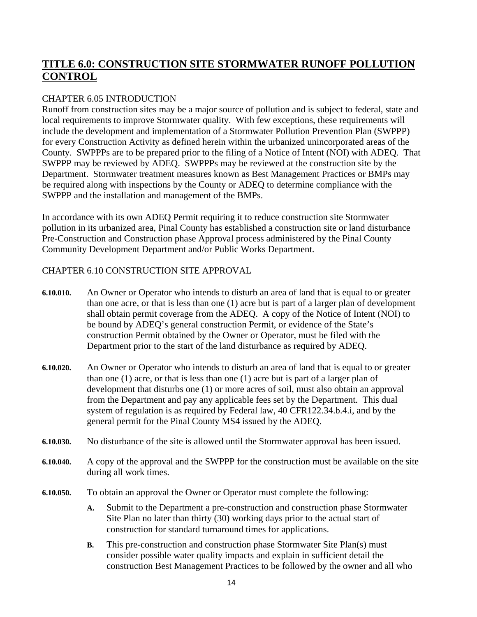# **TITLE 6.0: CONSTRUCTION SITE STORMWATER RUNOFF POLLUTION CONTROL**

# CHAPTER 6.05 INTRODUCTION

Runoff from construction sites may be a major source of pollution and is subject to federal, state and local requirements to improve Stormwater quality. With few exceptions, these requirements will include the development and implementation of a Stormwater Pollution Prevention Plan (SWPPP) for every Construction Activity as defined herein within the urbanized unincorporated areas of the County. SWPPPs are to be prepared prior to the filing of a Notice of Intent (NOI) with ADEQ. That SWPPP may be reviewed by ADEQ. SWPPPs may be reviewed at the construction site by the Department. Stormwater treatment measures known as Best Management Practices or BMPs may be required along with inspections by the County or ADEQ to determine compliance with the SWPPP and the installation and management of the BMPs.

In accordance with its own ADEQ Permit requiring it to reduce construction site Stormwater pollution in its urbanized area, Pinal County has established a construction site or land disturbance Pre-Construction and Construction phase Approval process administered by the Pinal County Community Development Department and/or Public Works Department.

## CHAPTER 6.10 CONSTRUCTION SITE APPROVAL

- **6.10.010.** An Owner or Operator who intends to disturb an area of land that is equal to or greater than one acre, or that is less than one (1) acre but is part of a larger plan of development shall obtain permit coverage from the ADEQ. A copy of the Notice of Intent (NOI) to be bound by ADEQ's general construction Permit, or evidence of the State's construction Permit obtained by the Owner or Operator, must be filed with the Department prior to the start of the land disturbance as required by ADEQ.
- **6.10.020.** An Owner or Operator who intends to disturb an area of land that is equal to or greater than one (1) acre, or that is less than one (1) acre but is part of a larger plan of development that disturbs one (1) or more acres of soil, must also obtain an approval from the Department and pay any applicable fees set by the Department. This dual system of regulation is as required by Federal law, 40 CFR122.34.b.4.i, and by the general permit for the Pinal County MS4 issued by the ADEQ.
- **6.10.030.** No disturbance of the site is allowed until the Stormwater approval has been issued.
- **6.10.040.** A copy of the approval and the SWPPP for the construction must be available on the site during all work times.
- **6.10.050.** To obtain an approval the Owner or Operator must complete the following:
	- **A.** Submit to the Department a pre-construction and construction phase Stormwater Site Plan no later than thirty (30) working days prior to the actual start of construction for standard turnaround times for applications.
	- **B.** This pre-construction and construction phase Stormwater Site Plan(s) must consider possible water quality impacts and explain in sufficient detail the construction Best Management Practices to be followed by the owner and all who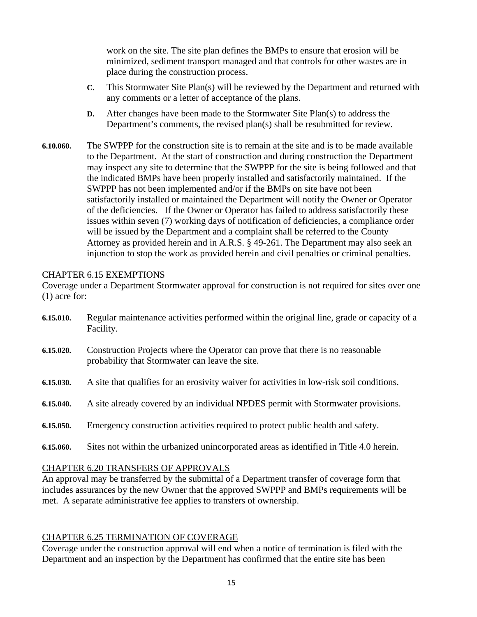work on the site. The site plan defines the BMPs to ensure that erosion will be minimized, sediment transport managed and that controls for other wastes are in place during the construction process.

- **C.** This Stormwater Site Plan(s) will be reviewed by the Department and returned with any comments or a letter of acceptance of the plans.
- **D.** After changes have been made to the Stormwater Site Plan(s) to address the Department's comments, the revised plan(s) shall be resubmitted for review.
- **6.10.060.** The SWPPP for the construction site is to remain at the site and is to be made available to the Department. At the start of construction and during construction the Department may inspect any site to determine that the SWPPP for the site is being followed and that the indicated BMPs have been properly installed and satisfactorily maintained. If the SWPPP has not been implemented and/or if the BMPs on site have not been satisfactorily installed or maintained the Department will notify the Owner or Operator of the deficiencies. If the Owner or Operator has failed to address satisfactorily these issues within seven (7) working days of notification of deficiencies, a compliance order will be issued by the Department and a complaint shall be referred to the County Attorney as provided herein and in A.R.S. § 49-261. The Department may also seek an injunction to stop the work as provided herein and civil penalties or criminal penalties.

#### CHAPTER 6.15 EXEMPTIONS

Coverage under a Department Stormwater approval for construction is not required for sites over one (1) acre for:

- **6.15.010.** Regular maintenance activities performed within the original line, grade or capacity of a Facility.
- **6.15.020.** Construction Projects where the Operator can prove that there is no reasonable probability that Stormwater can leave the site.
- **6.15.030.** A site that qualifies for an erosivity waiver for activities in low-risk soil conditions.
- **6.15.040.** A site already covered by an individual NPDES permit with Stormwater provisions.
- **6.15.050.** Emergency construction activities required to protect public health and safety.
- **6.15.060.** Sites not within the urbanized unincorporated areas as identified in Title 4.0 herein.

#### CHAPTER 6.20 TRANSFERS OF APPROVALS

An approval may be transferred by the submittal of a Department transfer of coverage form that includes assurances by the new Owner that the approved SWPPP and BMPs requirements will be met. A separate administrative fee applies to transfers of ownership.

## CHAPTER 6.25 TERMINATION OF COVERAGE

Coverage under the construction approval will end when a notice of termination is filed with the Department and an inspection by the Department has confirmed that the entire site has been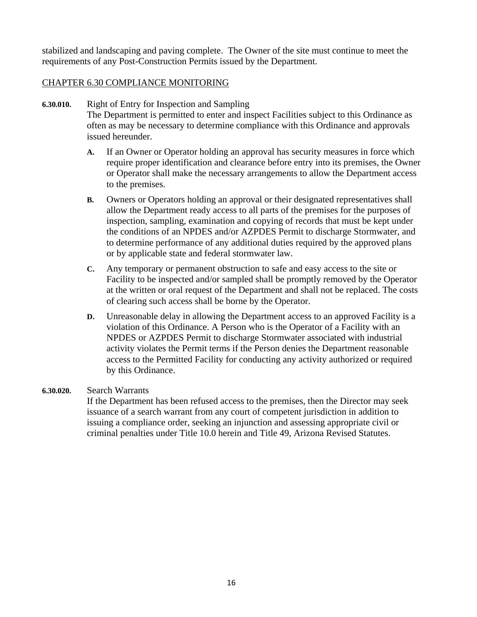stabilized and landscaping and paving complete. The Owner of the site must continue to meet the requirements of any Post-Construction Permits issued by the Department.

#### CHAPTER 6.30 COMPLIANCE MONITORING

- **6.30.010.** Right of Entry for Inspection and Sampling The Department is permitted to enter and inspect Facilities subject to this Ordinance as often as may be necessary to determine compliance with this Ordinance and approvals issued hereunder.
	- **A.** If an Owner or Operator holding an approval has security measures in force which require proper identification and clearance before entry into its premises, the Owner or Operator shall make the necessary arrangements to allow the Department access to the premises.
	- **B.** Owners or Operators holding an approval or their designated representatives shall allow the Department ready access to all parts of the premises for the purposes of inspection, sampling, examination and copying of records that must be kept under the conditions of an NPDES and/or AZPDES Permit to discharge Stormwater, and to determine performance of any additional duties required by the approved plans or by applicable state and federal stormwater law.
	- **C.** Any temporary or permanent obstruction to safe and easy access to the site or Facility to be inspected and/or sampled shall be promptly removed by the Operator at the written or oral request of the Department and shall not be replaced. The costs of clearing such access shall be borne by the Operator.
	- **D.** Unreasonable delay in allowing the Department access to an approved Facility is a violation of this Ordinance. A Person who is the Operator of a Facility with an NPDES or AZPDES Permit to discharge Stormwater associated with industrial activity violates the Permit terms if the Person denies the Department reasonable access to the Permitted Facility for conducting any activity authorized or required by this Ordinance.

#### **6.30.020.** Search Warrants

If the Department has been refused access to the premises, then the Director may seek issuance of a search warrant from any court of competent jurisdiction in addition to issuing a compliance order, seeking an injunction and assessing appropriate civil or criminal penalties under Title 10.0 herein and Title 49, Arizona Revised Statutes.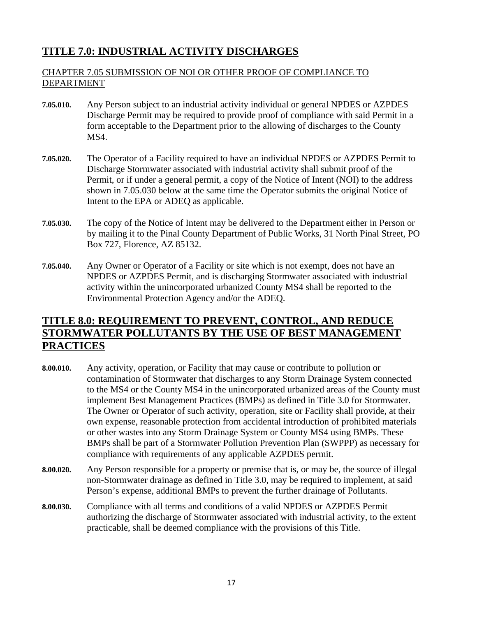# **TITLE 7.0: INDUSTRIAL ACTIVITY DISCHARGES**

## CHAPTER 7.05 SUBMISSION OF NOI OR OTHER PROOF OF COMPLIANCE TO DEPARTMENT

- **7.05.010.** Any Person subject to an industrial activity individual or general NPDES or AZPDES Discharge Permit may be required to provide proof of compliance with said Permit in a form acceptable to the Department prior to the allowing of discharges to the County MS4.
- **7.05.020.** The Operator of a Facility required to have an individual NPDES or AZPDES Permit to Discharge Stormwater associated with industrial activity shall submit proof of the Permit, or if under a general permit, a copy of the Notice of Intent (NOI) to the address shown in 7.05.030 below at the same time the Operator submits the original Notice of Intent to the EPA or ADEQ as applicable.
- **7.05.030.** The copy of the Notice of Intent may be delivered to the Department either in Person or by mailing it to the Pinal County Department of Public Works, 31 North Pinal Street, PO Box 727, Florence, AZ 85132.
- **7.05.040.** Any Owner or Operator of a Facility or site which is not exempt, does not have an NPDES or AZPDES Permit, and is discharging Stormwater associated with industrial activity within the unincorporated urbanized County MS4 shall be reported to the Environmental Protection Agency and/or the ADEQ.

# **TITLE 8.0: REQUIREMENT TO PREVENT, CONTROL, AND REDUCE STORMWATER POLLUTANTS BY THE USE OF BEST MANAGEMENT PRACTICES**

- **8.00.010.** Any activity, operation, or Facility that may cause or contribute to pollution or contamination of Stormwater that discharges to any Storm Drainage System connected to the MS4 or the County MS4 in the unincorporated urbanized areas of the County must implement Best Management Practices (BMPs) as defined in Title 3.0 for Stormwater. The Owner or Operator of such activity, operation, site or Facility shall provide, at their own expense, reasonable protection from accidental introduction of prohibited materials or other wastes into any Storm Drainage System or County MS4 using BMPs. These BMPs shall be part of a Stormwater Pollution Prevention Plan (SWPPP) as necessary for compliance with requirements of any applicable AZPDES permit.
- **8.00.020.** Any Person responsible for a property or premise that is, or may be, the source of illegal non-Stormwater drainage as defined in Title 3.0, may be required to implement, at said Person's expense, additional BMPs to prevent the further drainage of Pollutants.
- **8.00.030.** Compliance with all terms and conditions of a valid NPDES or AZPDES Permit authorizing the discharge of Stormwater associated with industrial activity, to the extent practicable, shall be deemed compliance with the provisions of this Title.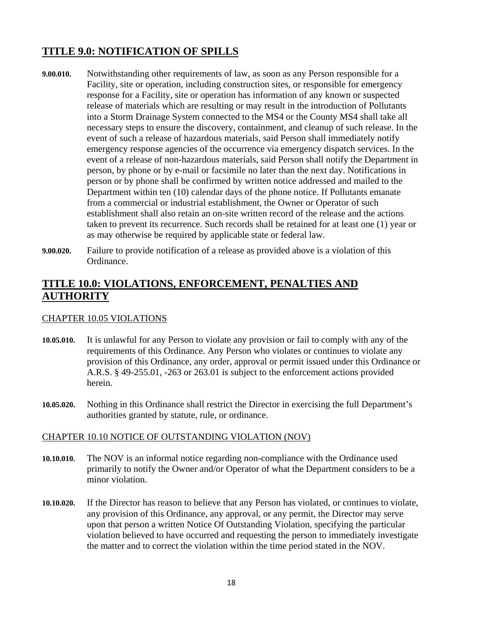# **TITLE 9.0: NOTIFICATION OF SPILLS**

- **9.00.010.** Notwithstanding other requirements of law, as soon as any Person responsible for a Facility, site or operation, including construction sites, or responsible for emergency response for a Facility, site or operation has information of any known or suspected release of materials which are resulting or may result in the introduction of Pollutants into a Storm Drainage System connected to the MS4 or the County MS4 shall take all necessary steps to ensure the discovery, containment, and cleanup of such release. In the event of such a release of hazardous materials, said Person shall immediately notify emergency response agencies of the occurrence via emergency dispatch services. In the event of a release of non-hazardous materials, said Person shall notify the Department in person, by phone or by e-mail or facsimile no later than the next day. Notifications in person or by phone shall be confirmed by written notice addressed and mailed to the Department within ten (10) calendar days of the phone notice. If Pollutants emanate from a commercial or industrial establishment, the Owner or Operator of such establishment shall also retain an on-site written record of the release and the actions taken to prevent its recurrence. Such records shall be retained for at least one (1) year or as may otherwise be required by applicable state or federal law.
- **9.00.020.** Failure to provide notification of a release as provided above is a violation of this Ordinance.

# **TITLE 10.0: VIOLATIONS, ENFORCEMENT, PENALTIES AND AUTHORITY**

#### CHAPTER 10.05 VIOLATIONS

- **10.05.010.** It is unlawful for any Person to violate any provision or fail to comply with any of the requirements of this Ordinance. Any Person who violates or continues to violate any provision of this Ordinance, any order, approval or permit issued under this Ordinance or A.R.S. § 49-255.01, -263 or 263.01 is subject to the enforcement actions provided herein.
- **10.05.020.** Nothing in this Ordinance shall restrict the Director in exercising the full Department's authorities granted by statute, rule, or ordinance.

#### CHAPTER 10.10 NOTICE OF OUTSTANDING VIOLATION (NOV)

- **10.10.010.** The NOV is an informal notice regarding non-compliance with the Ordinance used primarily to notify the Owner and/or Operator of what the Department considers to be a minor violation.
- **10.10.020.** If the Director has reason to believe that any Person has violated, or continues to violate, any provision of this Ordinance, any approval, or any permit, the Director may serve upon that person a written Notice Of Outstanding Violation, specifying the particular violation believed to have occurred and requesting the person to immediately investigate the matter and to correct the violation within the time period stated in the NOV.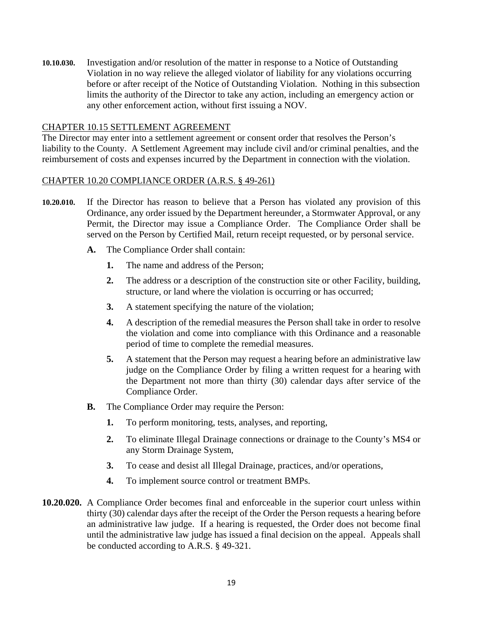**10.10.030.** Investigation and/or resolution of the matter in response to a Notice of Outstanding Violation in no way relieve the alleged violator of liability for any violations occurring before or after receipt of the Notice of Outstanding Violation. Nothing in this subsection limits the authority of the Director to take any action, including an emergency action or any other enforcement action, without first issuing a NOV.

#### CHAPTER 10.15 SETTLEMENT AGREEMENT

The Director may enter into a settlement agreement or consent order that resolves the Person's liability to the County. A Settlement Agreement may include civil and/or criminal penalties, and the reimbursement of costs and expenses incurred by the Department in connection with the violation.

#### CHAPTER 10.20 COMPLIANCE ORDER (A.R.S. § 49-261)

- **10.20.010.** If the Director has reason to believe that a Person has violated any provision of this Ordinance, any order issued by the Department hereunder, a Stormwater Approval, or any Permit, the Director may issue a Compliance Order. The Compliance Order shall be served on the Person by Certified Mail, return receipt requested, or by personal service.
	- **A.** The Compliance Order shall contain:
		- **1.** The name and address of the Person;
		- **2.** The address or a description of the construction site or other Facility, building, structure, or land where the violation is occurring or has occurred;
		- **3.** A statement specifying the nature of the violation;
		- **4.** A description of the remedial measures the Person shall take in order to resolve the violation and come into compliance with this Ordinance and a reasonable period of time to complete the remedial measures.
		- **5.** A statement that the Person may request a hearing before an administrative law judge on the Compliance Order by filing a written request for a hearing with the Department not more than thirty (30) calendar days after service of the Compliance Order.
	- **B.** The Compliance Order may require the Person:
		- **1.** To perform monitoring, tests, analyses, and reporting,
		- **2.** To eliminate Illegal Drainage connections or drainage to the County's MS4 or any Storm Drainage System,
		- **3.** To cease and desist all Illegal Drainage, practices, and/or operations,
		- **4.** To implement source control or treatment BMPs.
- **10.20.020.** A Compliance Order becomes final and enforceable in the superior court unless within thirty (30) calendar days after the receipt of the Order the Person requests a hearing before an administrative law judge. If a hearing is requested, the Order does not become final until the administrative law judge has issued a final decision on the appeal. Appeals shall be conducted according to A.R.S. § 49-321.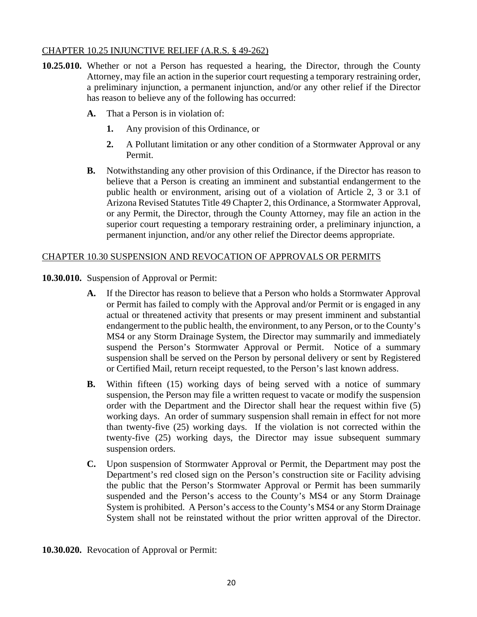#### CHAPTER 10.25 INJUNCTIVE RELIEF (A.R.S. § 49-262)

- **10.25.010.** Whether or not a Person has requested a hearing, the Director, through the County Attorney, may file an action in the superior court requesting a temporary restraining order, a preliminary injunction, a permanent injunction, and/or any other relief if the Director has reason to believe any of the following has occurred:
	- **A.** That a Person is in violation of:
		- **1.** Any provision of this Ordinance, or
		- **2.** A Pollutant limitation or any other condition of a Stormwater Approval or any Permit.
	- **B.** Notwithstanding any other provision of this Ordinance, if the Director has reason to believe that a Person is creating an imminent and substantial endangerment to the public health or environment, arising out of a violation of Article 2, 3 or 3.1 of Arizona Revised Statutes Title 49 Chapter 2, this Ordinance, a Stormwater Approval, or any Permit, the Director, through the County Attorney, may file an action in the superior court requesting a temporary restraining order, a preliminary injunction, a permanent injunction, and/or any other relief the Director deems appropriate.

#### CHAPTER 10.30 SUSPENSION AND REVOCATION OF APPROVALS OR PERMITS

- **10.30.010.** Suspension of Approval or Permit:
	- **A.** If the Director has reason to believe that a Person who holds a Stormwater Approval or Permit has failed to comply with the Approval and/or Permit or is engaged in any actual or threatened activity that presents or may present imminent and substantial endangerment to the public health, the environment, to any Person, or to the County's MS4 or any Storm Drainage System, the Director may summarily and immediately suspend the Person's Stormwater Approval or Permit. Notice of a summary suspension shall be served on the Person by personal delivery or sent by Registered or Certified Mail, return receipt requested, to the Person's last known address.
	- **B.** Within fifteen (15) working days of being served with a notice of summary suspension, the Person may file a written request to vacate or modify the suspension order with the Department and the Director shall hear the request within five (5) working days. An order of summary suspension shall remain in effect for not more than twenty-five (25) working days. If the violation is not corrected within the twenty-five (25) working days, the Director may issue subsequent summary suspension orders.
	- **C.** Upon suspension of Stormwater Approval or Permit, the Department may post the Department's red closed sign on the Person's construction site or Facility advising the public that the Person's Stormwater Approval or Permit has been summarily suspended and the Person's access to the County's MS4 or any Storm Drainage System is prohibited. A Person's access to the County's MS4 or any Storm Drainage System shall not be reinstated without the prior written approval of the Director.

**10.30.020.** Revocation of Approval or Permit: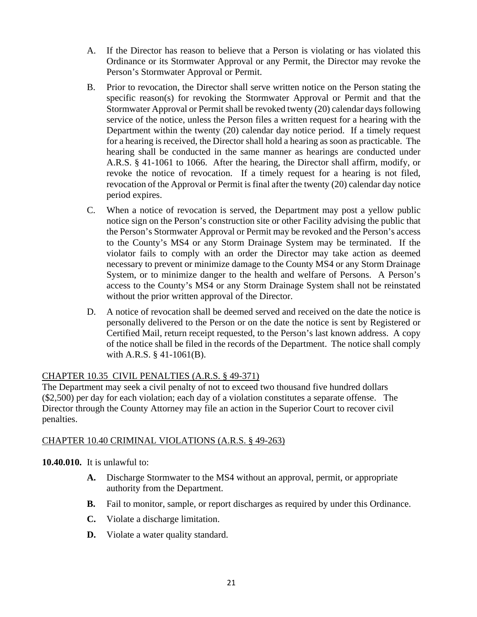- A. If the Director has reason to believe that a Person is violating or has violated this Ordinance or its Stormwater Approval or any Permit, the Director may revoke the Person's Stormwater Approval or Permit.
- B. Prior to revocation, the Director shall serve written notice on the Person stating the specific reason(s) for revoking the Stormwater Approval or Permit and that the Stormwater Approval or Permit shall be revoked twenty (20) calendar days following service of the notice, unless the Person files a written request for a hearing with the Department within the twenty (20) calendar day notice period. If a timely request for a hearing is received, the Director shall hold a hearing as soon as practicable. The hearing shall be conducted in the same manner as hearings are conducted under A.R.S. § 41-1061 to 1066. After the hearing, the Director shall affirm, modify, or revoke the notice of revocation. If a timely request for a hearing is not filed, revocation of the Approval or Permit is final after the twenty (20) calendar day notice period expires.
- C. When a notice of revocation is served, the Department may post a yellow public notice sign on the Person's construction site or other Facility advising the public that the Person's Stormwater Approval or Permit may be revoked and the Person's access to the County's MS4 or any Storm Drainage System may be terminated. If the violator fails to comply with an order the Director may take action as deemed necessary to prevent or minimize damage to the County MS4 or any Storm Drainage System, or to minimize danger to the health and welfare of Persons. A Person's access to the County's MS4 or any Storm Drainage System shall not be reinstated without the prior written approval of the Director.
- D. A notice of revocation shall be deemed served and received on the date the notice is personally delivered to the Person or on the date the notice is sent by Registered or Certified Mail, return receipt requested, to the Person's last known address. A copy of the notice shall be filed in the records of the Department. The notice shall comply with A.R.S. § 41-1061(B).

## CHAPTER 10.35 CIVIL PENALTIES (A.R.S. § 49-371)

The Department may seek a civil penalty of not to exceed two thousand five hundred dollars (\$2,500) per day for each violation; each day of a violation constitutes a separate offense. The Director through the County Attorney may file an action in the Superior Court to recover civil penalties.

## CHAPTER 10.40 CRIMINAL VIOLATIONS (A.R.S. § 49-263)

#### **10.40.010.** It is unlawful to:

- **A.** Discharge Stormwater to the MS4 without an approval, permit, or appropriate authority from the Department.
- **B.** Fail to monitor, sample, or report discharges as required by under this Ordinance.
- **C.** Violate a discharge limitation.
- **D.** Violate a water quality standard.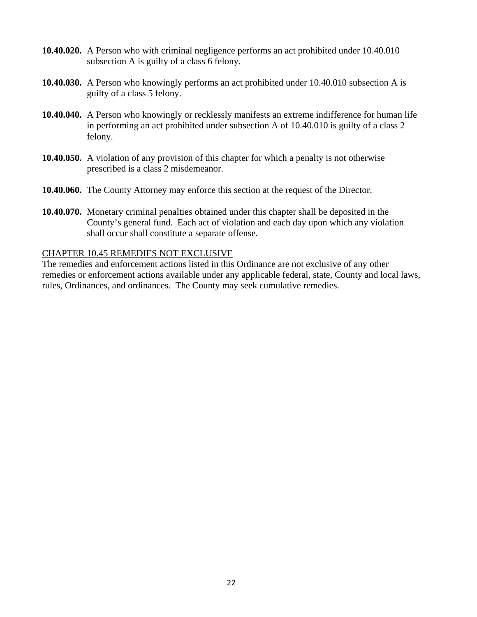- **10.40.020.** A Person who with criminal negligence performs an act prohibited under 10.40.010 subsection A is guilty of a class 6 felony.
- **10.40.030.** A Person who knowingly performs an act prohibited under 10.40.010 subsection A is guilty of a class 5 felony.
- **10.40.040.** A Person who knowingly or recklessly manifests an extreme indifference for human life in performing an act prohibited under subsection A of 10.40.010 is guilty of a class 2 felony.
- **10.40.050.** A violation of any provision of this chapter for which a penalty is not otherwise prescribed is a class 2 misdemeanor.
- **10.40.060.** The County Attorney may enforce this section at the request of the Director.
- **10.40.070.** Monetary criminal penalties obtained under this chapter shall be deposited in the County's general fund. Each act of violation and each day upon which any violation shall occur shall constitute a separate offense.

#### CHAPTER 10.45 REMEDIES NOT EXCLUSIVE

The remedies and enforcement actions listed in this Ordinance are not exclusive of any other remedies or enforcement actions available under any applicable federal, state, County and local laws, rules, Ordinances, and ordinances. The County may seek cumulative remedies.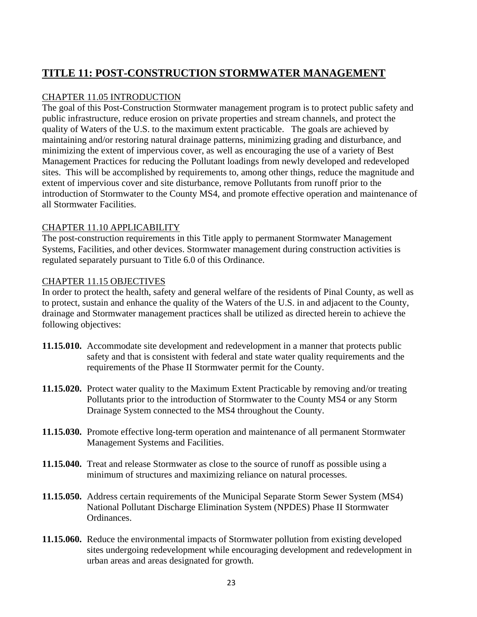# **TITLE 11: POST-CONSTRUCTION STORMWATER MANAGEMENT**

## CHAPTER 11.05 INTRODUCTION

The goal of this Post-Construction Stormwater management program is to protect public safety and public infrastructure, reduce erosion on private properties and stream channels, and protect the quality of Waters of the U.S. to the maximum extent practicable. The goals are achieved by maintaining and/or restoring natural drainage patterns, minimizing grading and disturbance, and minimizing the extent of impervious cover, as well as encouraging the use of a variety of Best Management Practices for reducing the Pollutant loadings from newly developed and redeveloped sites. This will be accomplished by requirements to, among other things, reduce the magnitude and extent of impervious cover and site disturbance, remove Pollutants from runoff prior to the introduction of Stormwater to the County MS4, and promote effective operation and maintenance of all Stormwater Facilities.

## CHAPTER 11.10 APPLICABILITY

The post-construction requirements in this Title apply to permanent Stormwater Management Systems, Facilities, and other devices. Stormwater management during construction activities is regulated separately pursuant to Title 6.0 of this Ordinance.

#### CHAPTER 11.15 OBJECTIVES

In order to protect the health, safety and general welfare of the residents of Pinal County, as well as to protect, sustain and enhance the quality of the Waters of the U.S. in and adjacent to the County, drainage and Stormwater management practices shall be utilized as directed herein to achieve the following objectives:

- **11.15.010.** Accommodate site development and redevelopment in a manner that protects public safety and that is consistent with federal and state water quality requirements and the requirements of the Phase II Stormwater permit for the County.
- **11.15.020.** Protect water quality to the Maximum Extent Practicable by removing and/or treating Pollutants prior to the introduction of Stormwater to the County MS4 or any Storm Drainage System connected to the MS4 throughout the County.
- **11.15.030.** Promote effective long-term operation and maintenance of all permanent Stormwater Management Systems and Facilities.
- **11.15.040.** Treat and release Stormwater as close to the source of runoff as possible using a minimum of structures and maximizing reliance on natural processes.
- **11.15.050.** Address certain requirements of the Municipal Separate Storm Sewer System (MS4) National Pollutant Discharge Elimination System (NPDES) Phase II Stormwater Ordinances.
- **11.15.060.** Reduce the environmental impacts of Stormwater pollution from existing developed sites undergoing redevelopment while encouraging development and redevelopment in urban areas and areas designated for growth.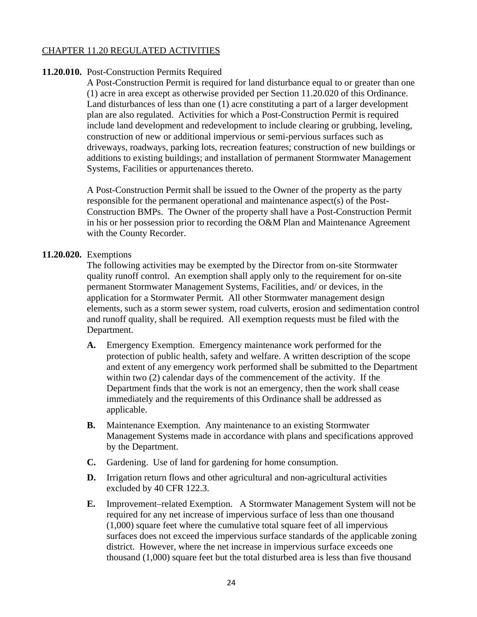#### CHAPTER 11.20 REGULATED ACTIVITIES

#### **11.20.010.** Post-Construction Permits Required

A Post-Construction Permit is required for land disturbance equal to or greater than one (1) acre in area except as otherwise provided per Section 11.20.020 of this Ordinance. Land disturbances of less than one (1) acre constituting a part of a larger development plan are also regulated. Activities for which a Post-Construction Permit is required include land development and redevelopment to include clearing or grubbing, leveling, construction of new or additional impervious or semi-pervious surfaces such as driveways, roadways, parking lots, recreation features; construction of new buildings or additions to existing buildings; and installation of permanent Stormwater Management Systems, Facilities or appurtenances thereto.

A Post-Construction Permit shall be issued to the Owner of the property as the party responsible for the permanent operational and maintenance aspect(s) of the Post-Construction BMPs. The Owner of the property shall have a Post-Construction Permit in his or her possession prior to recording the O&M Plan and Maintenance Agreement with the County Recorder.

#### **11.20.020.** Exemptions

The following activities may be exempted by the Director from on-site Stormwater quality runoff control. An exemption shall apply only to the requirement for on-site permanent Stormwater Management Systems, Facilities, and/ or devices, in the application for a Stormwater Permit. All other Stormwater management design elements, such as a storm sewer system, road culverts, erosion and sedimentation control and runoff quality, shall be required. All exemption requests must be filed with the Department.

- **A.** Emergency Exemption. Emergency maintenance work performed for the protection of public health, safety and welfare. A written description of the scope and extent of any emergency work performed shall be submitted to the Department within two (2) calendar days of the commencement of the activity. If the Department finds that the work is not an emergency, then the work shall cease immediately and the requirements of this Ordinance shall be addressed as applicable.
- **B.** Maintenance Exemption. Any maintenance to an existing Stormwater Management Systems made in accordance with plans and specifications approved by the Department.
- **C.** Gardening. Use of land for gardening for home consumption.
- **D.** Irrigation return flows and other agricultural and non-agricultural activities excluded by 40 CFR 122.3.
- **E.** Improvement–related Exemption. A Stormwater Management System will not be required for any net increase of impervious surface of less than one thousand (1,000) square feet where the cumulative total square feet of all impervious surfaces does not exceed the impervious surface standards of the applicable zoning district. However, where the net increase in impervious surface exceeds one thousand (1,000) square feet but the total disturbed area is less than five thousand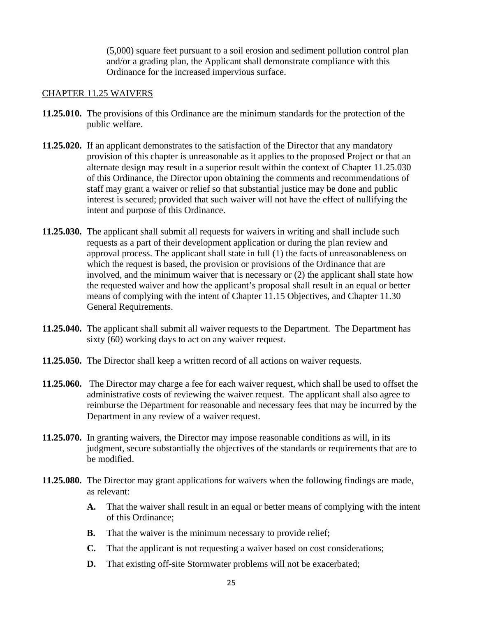(5,000) square feet pursuant to a soil erosion and sediment pollution control plan and/or a grading plan, the Applicant shall demonstrate compliance with this Ordinance for the increased impervious surface.

#### CHAPTER 11.25 WAIVERS

- **11.25.010.** The provisions of this Ordinance are the minimum standards for the protection of the public welfare.
- **11.25.020.** If an applicant demonstrates to the satisfaction of the Director that any mandatory provision of this chapter is unreasonable as it applies to the proposed Project or that an alternate design may result in a superior result within the context of Chapter 11.25.030 of this Ordinance, the Director upon obtaining the comments and recommendations of staff may grant a waiver or relief so that substantial justice may be done and public interest is secured; provided that such waiver will not have the effect of nullifying the intent and purpose of this Ordinance.
- **11.25.030.** The applicant shall submit all requests for waivers in writing and shall include such requests as a part of their development application or during the plan review and approval process. The applicant shall state in full (1) the facts of unreasonableness on which the request is based, the provision or provisions of the Ordinance that are involved, and the minimum waiver that is necessary or (2) the applicant shall state how the requested waiver and how the applicant's proposal shall result in an equal or better means of complying with the intent of Chapter 11.15 Objectives, and Chapter 11.30 General Requirements.
- **11.25.040.** The applicant shall submit all waiver requests to the Department. The Department has sixty (60) working days to act on any waiver request.
- **11.25.050.** The Director shall keep a written record of all actions on waiver requests.
- **11.25.060.** The Director may charge a fee for each waiver request, which shall be used to offset the administrative costs of reviewing the waiver request. The applicant shall also agree to reimburse the Department for reasonable and necessary fees that may be incurred by the Department in any review of a waiver request.
- **11.25.070.** In granting waivers, the Director may impose reasonable conditions as will, in its judgment, secure substantially the objectives of the standards or requirements that are to be modified.
- **11.25.080.** The Director may grant applications for waivers when the following findings are made, as relevant:
	- **A.** That the waiver shall result in an equal or better means of complying with the intent of this Ordinance;
	- **B.** That the waiver is the minimum necessary to provide relief;
	- **C.** That the applicant is not requesting a waiver based on cost considerations;
	- **D.** That existing off-site Stormwater problems will not be exacerbated;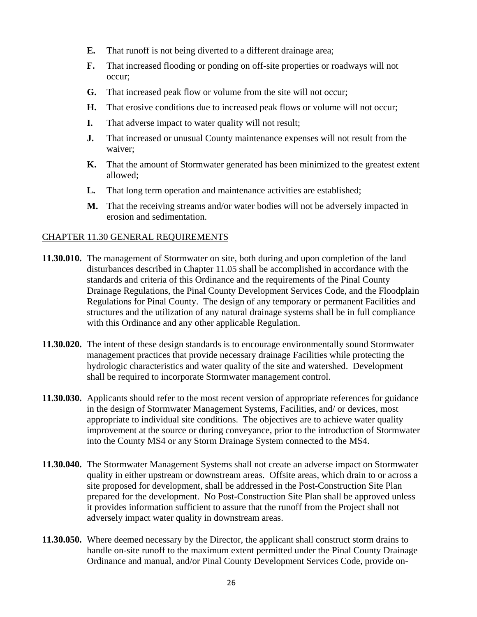- **E.** That runoff is not being diverted to a different drainage area;
- **F.** That increased flooding or ponding on off-site properties or roadways will not occur;
- **G.** That increased peak flow or volume from the site will not occur;
- **H.** That erosive conditions due to increased peak flows or volume will not occur;
- **I.** That adverse impact to water quality will not result;
- **J.** That increased or unusual County maintenance expenses will not result from the waiver;
- **K.** That the amount of Stormwater generated has been minimized to the greatest extent allowed;
- **L.** That long term operation and maintenance activities are established;
- **M.** That the receiving streams and/or water bodies will not be adversely impacted in erosion and sedimentation.

#### CHAPTER 11.30 GENERAL REQUIREMENTS

- **11.30.010.** The management of Stormwater on site, both during and upon completion of the land disturbances described in Chapter 11.05 shall be accomplished in accordance with the standards and criteria of this Ordinance and the requirements of the Pinal County Drainage Regulations, the Pinal County Development Services Code, and the Floodplain Regulations for Pinal County. The design of any temporary or permanent Facilities and structures and the utilization of any natural drainage systems shall be in full compliance with this Ordinance and any other applicable Regulation.
- **11.30.020.** The intent of these design standards is to encourage environmentally sound Stormwater management practices that provide necessary drainage Facilities while protecting the hydrologic characteristics and water quality of the site and watershed. Development shall be required to incorporate Stormwater management control.
- **11.30.030.** Applicants should refer to the most recent version of appropriate references for guidance in the design of Stormwater Management Systems, Facilities, and/ or devices, most appropriate to individual site conditions. The objectives are to achieve water quality improvement at the source or during conveyance, prior to the introduction of Stormwater into the County MS4 or any Storm Drainage System connected to the MS4.
- **11.30.040.** The Stormwater Management Systems shall not create an adverse impact on Stormwater quality in either upstream or downstream areas. Offsite areas, which drain to or across a site proposed for development, shall be addressed in the Post-Construction Site Plan prepared for the development. No Post-Construction Site Plan shall be approved unless it provides information sufficient to assure that the runoff from the Project shall not adversely impact water quality in downstream areas.
- **11.30.050.** Where deemed necessary by the Director, the applicant shall construct storm drains to handle on-site runoff to the maximum extent permitted under the Pinal County Drainage Ordinance and manual, and/or Pinal County Development Services Code, provide on-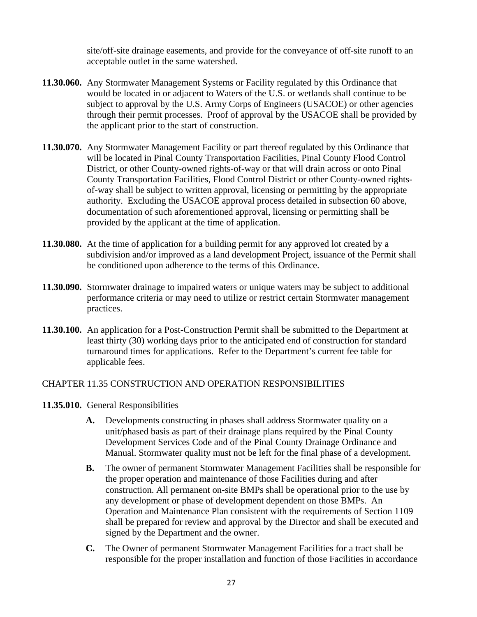site/off-site drainage easements, and provide for the conveyance of off-site runoff to an acceptable outlet in the same watershed.

- **11.30.060.** Any Stormwater Management Systems or Facility regulated by this Ordinance that would be located in or adjacent to Waters of the U.S. or wetlands shall continue to be subject to approval by the U.S. Army Corps of Engineers (USACOE) or other agencies through their permit processes. Proof of approval by the USACOE shall be provided by the applicant prior to the start of construction.
- **11.30.070.** Any Stormwater Management Facility or part thereof regulated by this Ordinance that will be located in Pinal County Transportation Facilities, Pinal County Flood Control District, or other County-owned rights-of-way or that will drain across or onto Pinal County Transportation Facilities, Flood Control District or other County-owned rightsof-way shall be subject to written approval, licensing or permitting by the appropriate authority. Excluding the USACOE approval process detailed in subsection 60 above, documentation of such aforementioned approval, licensing or permitting shall be provided by the applicant at the time of application.
- **11.30.080.** At the time of application for a building permit for any approved lot created by a subdivision and/or improved as a land development Project, issuance of the Permit shall be conditioned upon adherence to the terms of this Ordinance.
- **11.30.090.** Stormwater drainage to impaired waters or unique waters may be subject to additional performance criteria or may need to utilize or restrict certain Stormwater management practices.
- **11.30.100.** An application for a Post-Construction Permit shall be submitted to the Department at least thirty (30) working days prior to the anticipated end of construction for standard turnaround times for applications. Refer to the Department's current fee table for applicable fees.

#### CHAPTER 11.35 CONSTRUCTION AND OPERATION RESPONSIBILITIES

- **11.35.010.** General Responsibilities
	- **A.** Developments constructing in phases shall address Stormwater quality on a unit/phased basis as part of their drainage plans required by the Pinal County Development Services Code and of the Pinal County Drainage Ordinance and Manual. Stormwater quality must not be left for the final phase of a development.
	- **B.** The owner of permanent Stormwater Management Facilities shall be responsible for the proper operation and maintenance of those Facilities during and after construction. All permanent on-site BMPs shall be operational prior to the use by any development or phase of development dependent on those BMPs. An Operation and Maintenance Plan consistent with the requirements of Section 1109 shall be prepared for review and approval by the Director and shall be executed and signed by the Department and the owner.
	- **C.** The Owner of permanent Stormwater Management Facilities for a tract shall be responsible for the proper installation and function of those Facilities in accordance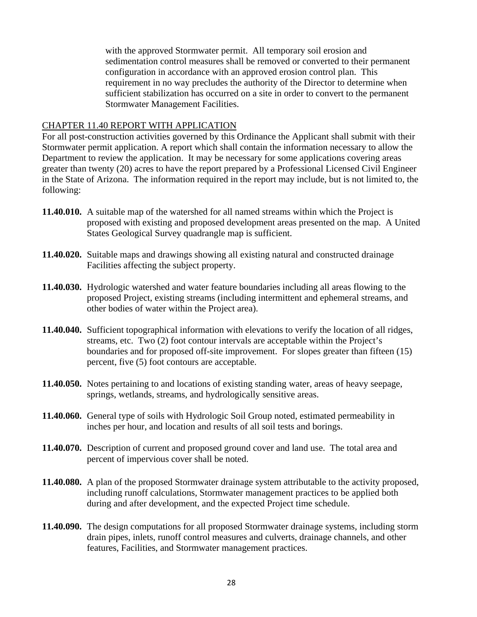with the approved Stormwater permit. All temporary soil erosion and sedimentation control measures shall be removed or converted to their permanent configuration in accordance with an approved erosion control plan. This requirement in no way precludes the authority of the Director to determine when sufficient stabilization has occurred on a site in order to convert to the permanent Stormwater Management Facilities.

#### CHAPTER 11.40 REPORT WITH APPLICATION

For all post-construction activities governed by this Ordinance the Applicant shall submit with their Stormwater permit application. A report which shall contain the information necessary to allow the Department to review the application. It may be necessary for some applications covering areas greater than twenty (20) acres to have the report prepared by a Professional Licensed Civil Engineer in the State of Arizona. The information required in the report may include, but is not limited to, the following:

- **11.40.010.** A suitable map of the watershed for all named streams within which the Project is proposed with existing and proposed development areas presented on the map. A United States Geological Survey quadrangle map is sufficient.
- **11.40.020.** Suitable maps and drawings showing all existing natural and constructed drainage Facilities affecting the subject property.
- **11.40.030.** Hydrologic watershed and water feature boundaries including all areas flowing to the proposed Project, existing streams (including intermittent and ephemeral streams, and other bodies of water within the Project area).
- **11.40.040.** Sufficient topographical information with elevations to verify the location of all ridges, streams, etc. Two (2) foot contour intervals are acceptable within the Project's boundaries and for proposed off-site improvement. For slopes greater than fifteen (15) percent, five (5) foot contours are acceptable.
- **11.40.050.** Notes pertaining to and locations of existing standing water, areas of heavy seepage, springs, wetlands, streams, and hydrologically sensitive areas.
- **11.40.060.** General type of soils with Hydrologic Soil Group noted, estimated permeability in inches per hour, and location and results of all soil tests and borings.
- **11.40.070.** Description of current and proposed ground cover and land use. The total area and percent of impervious cover shall be noted.
- **11.40.080.** A plan of the proposed Stormwater drainage system attributable to the activity proposed, including runoff calculations, Stormwater management practices to be applied both during and after development, and the expected Project time schedule.
- **11.40.090.** The design computations for all proposed Stormwater drainage systems, including storm drain pipes, inlets, runoff control measures and culverts, drainage channels, and other features, Facilities, and Stormwater management practices.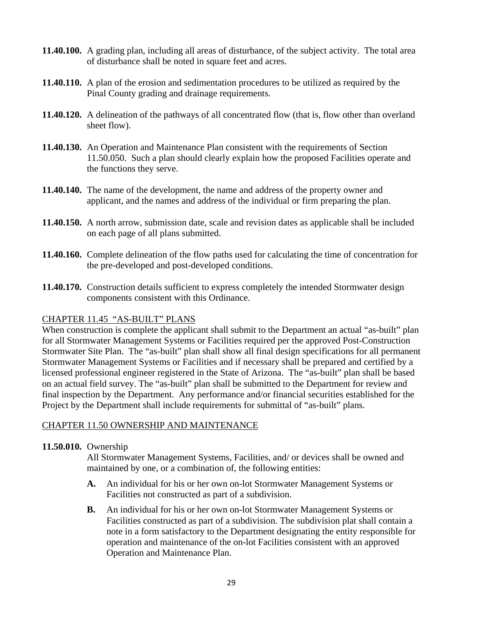- **11.40.100.** A grading plan, including all areas of disturbance, of the subject activity. The total area of disturbance shall be noted in square feet and acres.
- **11.40.110.** A plan of the erosion and sedimentation procedures to be utilized as required by the Pinal County grading and drainage requirements.
- **11.40.120.** A delineation of the pathways of all concentrated flow (that is, flow other than overland sheet flow).
- **11.40.130.** An Operation and Maintenance Plan consistent with the requirements of Section 11.50.050. Such a plan should clearly explain how the proposed Facilities operate and the functions they serve.
- **11.40.140.** The name of the development, the name and address of the property owner and applicant, and the names and address of the individual or firm preparing the plan.
- **11.40.150.** A north arrow, submission date, scale and revision dates as applicable shall be included on each page of all plans submitted.
- **11.40.160.** Complete delineation of the flow paths used for calculating the time of concentration for the pre-developed and post-developed conditions.
- **11.40.170.** Construction details sufficient to express completely the intended Stormwater design components consistent with this Ordinance.

## CHAPTER 11.45 "AS-BUILT" PLANS

When construction is complete the applicant shall submit to the Department an actual "as-built" plan for all Stormwater Management Systems or Facilities required per the approved Post-Construction Stormwater Site Plan. The "as-built" plan shall show all final design specifications for all permanent Stormwater Management Systems or Facilities and if necessary shall be prepared and certified by a licensed professional engineer registered in the State of Arizona. The "as-built" plan shall be based on an actual field survey. The "as-built" plan shall be submitted to the Department for review and final inspection by the Department. Any performance and/or financial securities established for the Project by the Department shall include requirements for submittal of "as-built" plans.

## CHAPTER 11.50 OWNERSHIP AND MAINTENANCE

#### **11.50.010.** Ownership

All Stormwater Management Systems, Facilities, and/ or devices shall be owned and maintained by one, or a combination of, the following entities:

- **A.** An individual for his or her own on-lot Stormwater Management Systems or Facilities not constructed as part of a subdivision.
- **B.** An individual for his or her own on-lot Stormwater Management Systems or Facilities constructed as part of a subdivision. The subdivision plat shall contain a note in a form satisfactory to the Department designating the entity responsible for operation and maintenance of the on-lot Facilities consistent with an approved Operation and Maintenance Plan.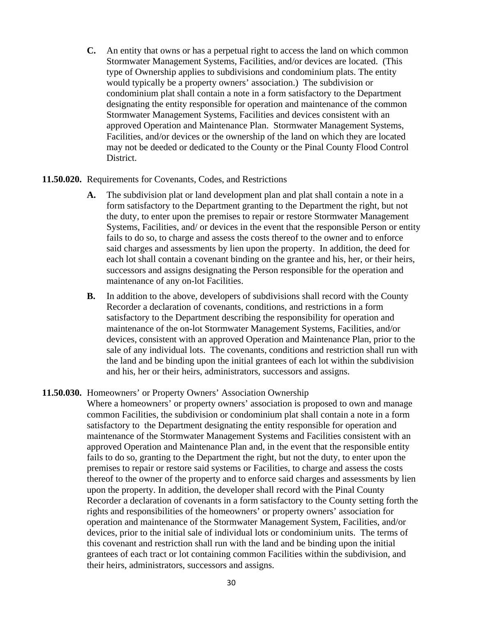**C.** An entity that owns or has a perpetual right to access the land on which common Stormwater Management Systems, Facilities, and/or devices are located. (This type of Ownership applies to subdivisions and condominium plats. The entity would typically be a property owners' association.) The subdivision or condominium plat shall contain a note in a form satisfactory to the Department designating the entity responsible for operation and maintenance of the common Stormwater Management Systems, Facilities and devices consistent with an approved Operation and Maintenance Plan. Stormwater Management Systems, Facilities, and/or devices or the ownership of the land on which they are located may not be deeded or dedicated to the County or the Pinal County Flood Control District.

#### **11.50.020.** Requirements for Covenants, Codes, and Restrictions

- **A.** The subdivision plat or land development plan and plat shall contain a note in a form satisfactory to the Department granting to the Department the right, but not the duty, to enter upon the premises to repair or restore Stormwater Management Systems, Facilities, and/ or devices in the event that the responsible Person or entity fails to do so, to charge and assess the costs thereof to the owner and to enforce said charges and assessments by lien upon the property. In addition, the deed for each lot shall contain a covenant binding on the grantee and his, her, or their heirs, successors and assigns designating the Person responsible for the operation and maintenance of any on-lot Facilities.
- **B.** In addition to the above, developers of subdivisions shall record with the County Recorder a declaration of covenants, conditions, and restrictions in a form satisfactory to the Department describing the responsibility for operation and maintenance of the on-lot Stormwater Management Systems, Facilities, and/or devices, consistent with an approved Operation and Maintenance Plan, prior to the sale of any individual lots. The covenants, conditions and restriction shall run with the land and be binding upon the initial grantees of each lot within the subdivision and his, her or their heirs, administrators, successors and assigns.

#### **11.50.030.** Homeowners' or Property Owners' Association Ownership

Where a homeowners' or property owners' association is proposed to own and manage common Facilities, the subdivision or condominium plat shall contain a note in a form satisfactory to the Department designating the entity responsible for operation and maintenance of the Stormwater Management Systems and Facilities consistent with an approved Operation and Maintenance Plan and, in the event that the responsible entity fails to do so, granting to the Department the right, but not the duty, to enter upon the premises to repair or restore said systems or Facilities, to charge and assess the costs thereof to the owner of the property and to enforce said charges and assessments by lien upon the property. In addition, the developer shall record with the Pinal County Recorder a declaration of covenants in a form satisfactory to the County setting forth the rights and responsibilities of the homeowners' or property owners' association for operation and maintenance of the Stormwater Management System, Facilities, and/or devices, prior to the initial sale of individual lots or condominium units. The terms of this covenant and restriction shall run with the land and be binding upon the initial grantees of each tract or lot containing common Facilities within the subdivision, and their heirs, administrators, successors and assigns.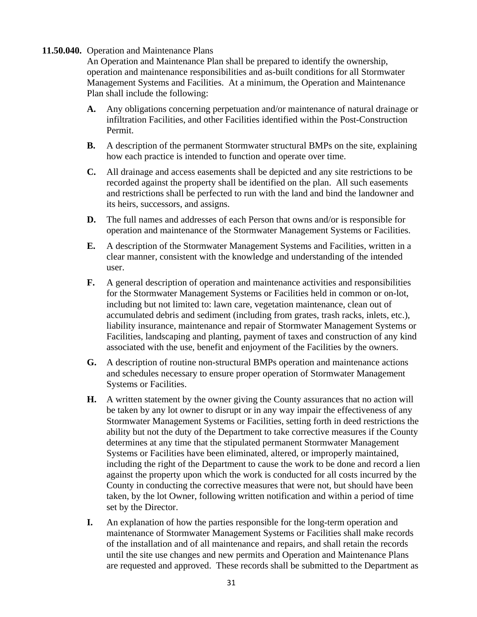#### **11.50.040.** Operation and Maintenance Plans

An Operation and Maintenance Plan shall be prepared to identify the ownership, operation and maintenance responsibilities and as-built conditions for all Stormwater Management Systems and Facilities. At a minimum, the Operation and Maintenance Plan shall include the following:

- **A.** Any obligations concerning perpetuation and/or maintenance of natural drainage or infiltration Facilities, and other Facilities identified within the Post-Construction Permit.
- **B.** A description of the permanent Stormwater structural BMPs on the site, explaining how each practice is intended to function and operate over time.
- **C.** All drainage and access easements shall be depicted and any site restrictions to be recorded against the property shall be identified on the plan. All such easements and restrictions shall be perfected to run with the land and bind the landowner and its heirs, successors, and assigns.
- **D.** The full names and addresses of each Person that owns and/or is responsible for operation and maintenance of the Stormwater Management Systems or Facilities.
- **E.** A description of the Stormwater Management Systems and Facilities, written in a clear manner, consistent with the knowledge and understanding of the intended user.
- **F.** A general description of operation and maintenance activities and responsibilities for the Stormwater Management Systems or Facilities held in common or on-lot, including but not limited to: lawn care, vegetation maintenance, clean out of accumulated debris and sediment (including from grates, trash racks, inlets, etc.), liability insurance, maintenance and repair of Stormwater Management Systems or Facilities, landscaping and planting, payment of taxes and construction of any kind associated with the use, benefit and enjoyment of the Facilities by the owners.
- **G.** A description of routine non-structural BMPs operation and maintenance actions and schedules necessary to ensure proper operation of Stormwater Management Systems or Facilities.
- **H.** A written statement by the owner giving the County assurances that no action will be taken by any lot owner to disrupt or in any way impair the effectiveness of any Stormwater Management Systems or Facilities, setting forth in deed restrictions the ability but not the duty of the Department to take corrective measures if the County determines at any time that the stipulated permanent Stormwater Management Systems or Facilities have been eliminated, altered, or improperly maintained, including the right of the Department to cause the work to be done and record a lien against the property upon which the work is conducted for all costs incurred by the County in conducting the corrective measures that were not, but should have been taken, by the lot Owner, following written notification and within a period of time set by the Director.
- **I.** An explanation of how the parties responsible for the long-term operation and maintenance of Stormwater Management Systems or Facilities shall make records of the installation and of all maintenance and repairs, and shall retain the records until the site use changes and new permits and Operation and Maintenance Plans are requested and approved. These records shall be submitted to the Department as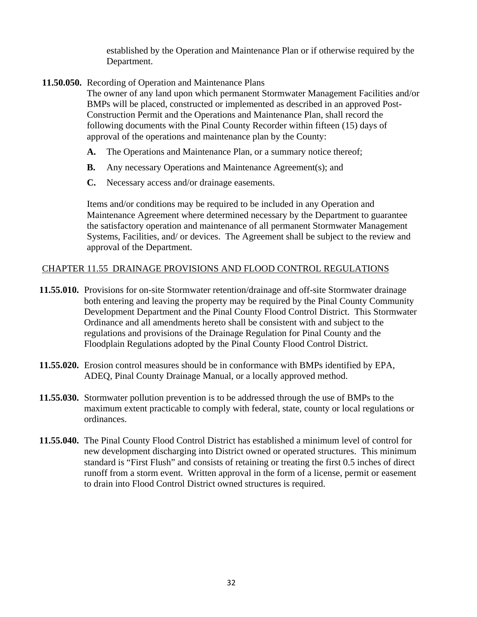established by the Operation and Maintenance Plan or if otherwise required by the Department.

**11.50.050.** Recording of Operation and Maintenance Plans

The owner of any land upon which permanent Stormwater Management Facilities and/or BMPs will be placed, constructed or implemented as described in an approved Post-Construction Permit and the Operations and Maintenance Plan, shall record the following documents with the Pinal County Recorder within fifteen (15) days of approval of the operations and maintenance plan by the County:

- **A.** The Operations and Maintenance Plan, or a summary notice thereof;
- **B.** Any necessary Operations and Maintenance Agreement(s); and
- **C.** Necessary access and/or drainage easements.

Items and/or conditions may be required to be included in any Operation and Maintenance Agreement where determined necessary by the Department to guarantee the satisfactory operation and maintenance of all permanent Stormwater Management Systems, Facilities, and/ or devices. The Agreement shall be subject to the review and approval of the Department.

#### CHAPTER 11.55 DRAINAGE PROVISIONS AND FLOOD CONTROL REGULATIONS

- **11.55.010.** Provisions for on-site Stormwater retention/drainage and off-site Stormwater drainage both entering and leaving the property may be required by the Pinal County Community Development Department and the Pinal County Flood Control District. This Stormwater Ordinance and all amendments hereto shall be consistent with and subject to the regulations and provisions of the Drainage Regulation for Pinal County and the Floodplain Regulations adopted by the Pinal County Flood Control District.
- **11.55.020.** Erosion control measures should be in conformance with BMPs identified by EPA, ADEQ, Pinal County Drainage Manual, or a locally approved method.
- **11.55.030.** Stormwater pollution prevention is to be addressed through the use of BMPs to the maximum extent practicable to comply with federal, state, county or local regulations or ordinances.
- **11.55.040.** The Pinal County Flood Control District has established a minimum level of control for new development discharging into District owned or operated structures. This minimum standard is "First Flush" and consists of retaining or treating the first 0.5 inches of direct runoff from a storm event. Written approval in the form of a license, permit or easement to drain into Flood Control District owned structures is required.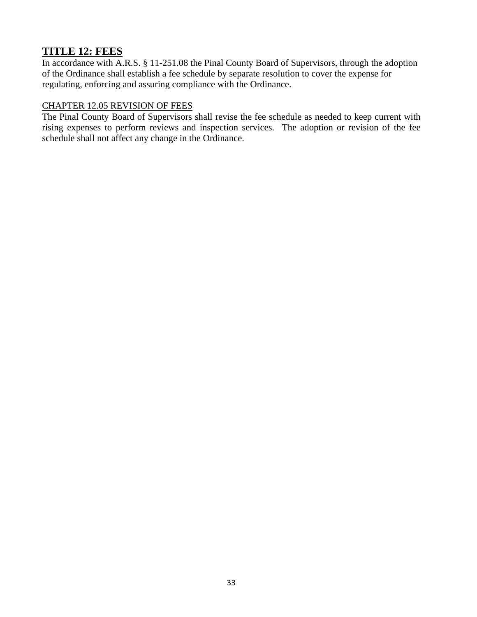# **TITLE 12: FEES**

In accordance with A.R.S. § 11-251.08 the Pinal County Board of Supervisors, through the adoption of the Ordinance shall establish a fee schedule by separate resolution to cover the expense for regulating, enforcing and assuring compliance with the Ordinance.

#### CHAPTER 12.05 REVISION OF FEES

The Pinal County Board of Supervisors shall revise the fee schedule as needed to keep current with rising expenses to perform reviews and inspection services. The adoption or revision of the fee schedule shall not affect any change in the Ordinance.